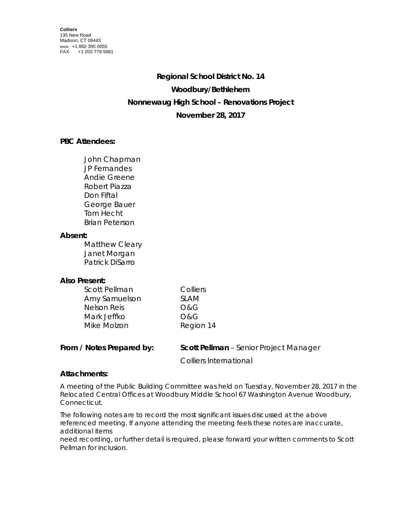# **Regional School District No. 14 Woodbury/Bethlehem Nonnewaug High School – Renovations Project November 28, 2017**

## **PBC Attendees:**

John Chapman JP Fernandes Andie Greene Robert Piazza Don Fiftal George Bauer Tom Hecht Brian Peterson

### **Absent:**

Matthew Cleary Janet Morgan Patrick DiSarro

## **Also Present:**

| Scott Pellman      | Colliers  |
|--------------------|-----------|
| Amy Samuelson      | SI AM     |
| <b>Nelson Reis</b> | O&G       |
| Mark Jeffko        | O&G       |
| Mike Molzon        | Region 14 |

| From / Notes Prepared by: | <b>Scott Pellman</b> – Senior Project Manager |
|---------------------------|-----------------------------------------------|
|                           | Colliers International                        |

## **Attachments:**

A meeting of the Public Building Committee was held on Tuesday, November 28, 2017 in the Relocated Central Offices at Woodbury Middle School 67 Washington Avenue Woodbury, Connecticut.

The following notes are to record the most significant issues discussed at the above referenced meeting. If anyone attending the meeting feels these notes are inaccurate, additional items

need recording, or further detail is required, please forward your written comments to Scott Pellman for inclusion.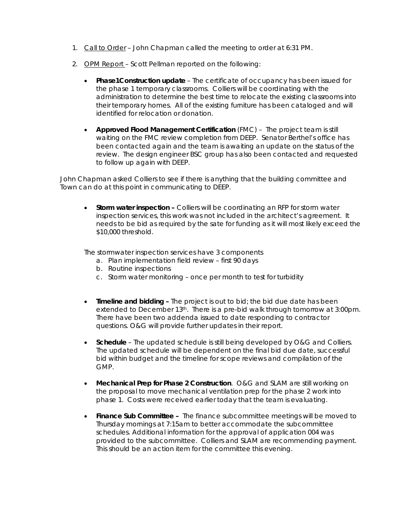- 1. Call to Order John Chapman called the meeting to order at 6:31 PM.
- 2. OPM Report Scott Pellman reported on the following:
	- **Phase1Construction update** The certificate of occupancy has been issued for the phase 1 temporary classrooms. Colliers will be coordinating with the administration to determine the best time to relocate the existing classrooms into their temporary homes. All of the existing furniture has been cataloged and will identified for relocation or donation.
	- **Approved Flood Management Certification** (FMC) The project team is still waiting on the FMC review completion from DEEP. Senator Berthel's office has been contacted again and the team is awaiting an update on the status of the review. The design engineer BSC group has also been contacted and requested to follow up again with DEEP.

John Chapman asked Colliers to see if there is anything that the building committee and Town can do at this point in communicating to DEEP.

• **Storm water inspection –** Colliers will be coordinating an RFP for storm water inspection services, this work was not included in the architect's agreement. It needs to be bid as required by the sate for funding as it will most likely exceed the \$10,000 threshold.

The stormwater inspection services have 3 components

- a. Plan implementation field review first 90 days
- b. Routine inspections
- c. Storm water monitoring once per month to test for turbidity
- **Timeline and bidding –** The project is out to bid; the bid due date has been extended to December 13<sup>th</sup>. There is a pre-bid walk through tomorrow at 3:00pm. There have been two addenda issued to date responding to contractor questions. O&G will provide further updates in their report.
- **Schedule** The updated schedule is still being developed by O&G and Colliers. The updated schedule will be dependent on the final bid due date, successful bid within budget and the timeline for scope reviews and compilation of the GMP.
- **Mechanical Prep for Phase 2 Construction**. O&G and SLAM are still working on the proposal to move mechanical ventilation prep for the phase 2 work into phase 1. Costs were received earlier today that the team is evaluating.
- **Finance Sub Committee** The finance subcommittee meetings will be moved to Thursday mornings at 7:15am to better accommodate the subcommittee schedules. Additional information for the approval of application 004 was provided to the subcommittee. Colliers and SLAM are recommending payment. This should be an action item for the committee this evening.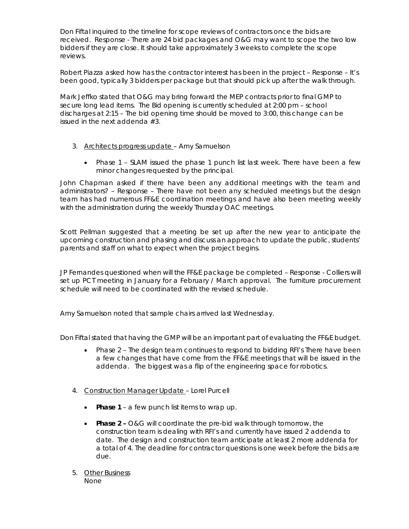Don Fiftal inquired to the timeline for scope reviews of contractors once the bids are received. Response - There are 24 bid packages and O&G may want to scope the two low bidders if they are close. It should take approximately 3 weeks to complete the scope reviews.

Robert Piazza asked how has the contractor interest has been in the project – Response – It's been good, typically 3 bidders per package but that should pick up after the walk through.

Mark Jeffko stated that O&G may bring forward the MEP contracts prior to final GMP to secure long lead items. The Bid opening is currently scheduled at 2:00 pm – school discharges at 2:15 – The bid opening time should be moved to 3:00, this change can be issued in the next addenda #3.

- 3. Architects progress update Amy Samuelson
	- Phase 1 SLAM issued the phase 1 punch list last week. There have been a few minor changes requested by the principal.

John Chapman asked if there have been any additional meetings with the team and administrators? – Response – There have not been any scheduled meetings but the design team has had numerous FF&E coordination meetings and have also been meeting weekly with the administration during the weekly Thursday OAC meetings.

Scott Pellman suggested that a meeting be set up after the new year to anticipate the upcoming construction and phasing and discuss an approach to update the public, students' parents and staff on what to expect when the project begins.

JP Fernandes questioned when will the FF&E package be completed – Response - Colliers will set up PCT meeting in January for a February / March approval. The furniture procurement schedule will need to be coordinated with the revised schedule.

Amy Samuelson noted that sample chairs arrived last Wednesday.

Don Fiftal stated that having the GMP will be an important part of evaluating the FF&E budget.

- Phase 2 The design team continues to respond to bidding RFI's There have been a few changes that have come from the FF&E meetings that will be issued in the addenda. The biggest was a flip of the engineering space for robotics.
- 4. Construction Manager Update Lorel Purcell
	- **Phase 1**  a few punch list items to wrap up.
	- **Phase 2 –** O&G will coordinate the pre-bid walk through tomorrow, the construction team is dealing with RFI's and currently have issued 2 addenda to date. The design and construction team anticipate at least 2 more addenda for a total of 4. The deadline for contractor questions is one week before the bids are due.
- 5. Other Business None